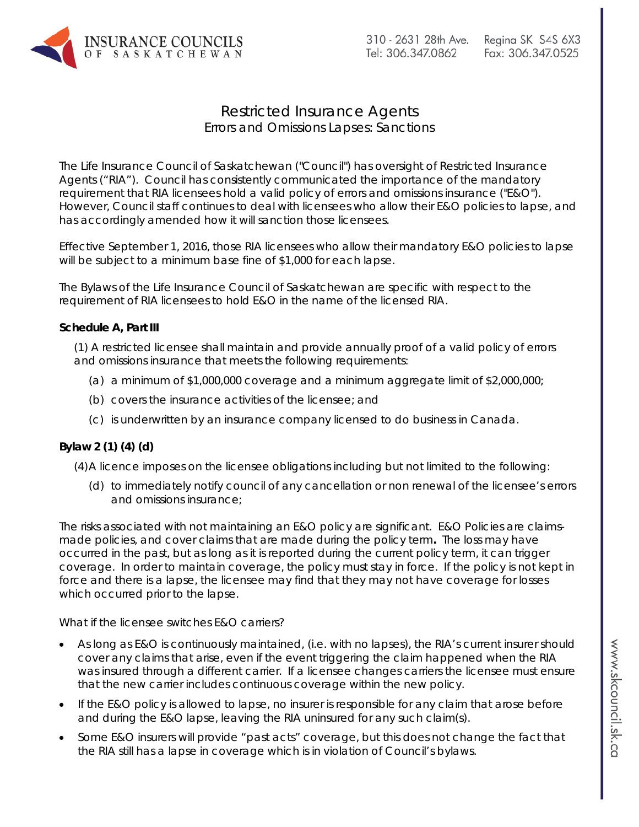

# Restricted Insurance Agents Errors and Omissions Lapses: Sanctions

The Life Insurance Council of Saskatchewan ("Council") has oversight of Restricted Insurance Agents ("RIA"). Council has consistently communicated the importance of the mandatory requirement that RIA licensees hold a valid policy of errors and omissions insurance ("E&O"). However, Council staff continues to deal with licensees who allow their E&O policies to lapse, and has accordingly amended how it will sanction those licensees.

Effective September 1, 2016, those RIA licensees who allow their mandatory E&O policies to lapse will be subject to a minimum base fine of \$1,000 for each lapse.

The Bylaws of the Life Insurance Council of Saskatchewan are specific with respect to the requirement of RIA licensees to hold E&O in the name of the licensed RIA.

## **Schedule A, Part III**

(1) A restricted licensee shall maintain and provide annually proof of a valid policy of errors and omissions insurance that meets the following requirements:

- (a) a minimum of \$1,000,000 coverage and a minimum aggregate limit of \$2,000,000;
- (b) covers the insurance activities of the licensee; and
- (c) is underwritten by an insurance company licensed to do business in Canada.

## **Bylaw 2 (1) (4) (d)**

(4)A licence imposes on the licensee obligations including but not limited to the following:

(d) to immediately notify council of any cancellation or non renewal of the licensee's errors and omissions insurance;

The risks associated with not maintaining an E&O policy are significant. E&O Policies are claimsmade policies, and cover claims that are made during the policy term**.** The loss may have occurred in the past, but as long as it is reported during the current policy term, it can trigger coverage. In order to maintain coverage, the policy must stay in force. If the policy is not kept in force and there is a lapse, the licensee may find that they may not have coverage for losses which occurred prior to the lapse.

## *What if the licensee switches E&O carriers?*

- As long as E&O is continuously maintained, (i.e. with no lapses), the RIA's current insurer should cover any claims that arise, even if the event triggering the claim happened when the RIA was insured through a different carrier. If a licensee changes carriers the licensee must ensure that the new carrier includes continuous coverage within the new policy.
- If the E&O policy is allowed to lapse, no insurer is responsible for any claim that arose before and during the E&O lapse, leaving the RIA uninsured for any such claim(s).
- Some E&O insurers will provide "past acts" coverage, but this does not change the fact that the RIA still has a lapse in coverage which is in violation of Council's bylaws.